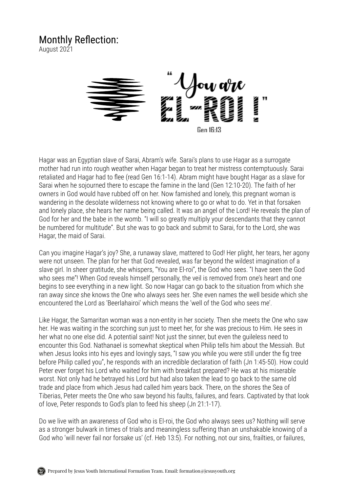## Monthly Reflection:

August 2021



Hagar was an Egyptian slave of Sarai, Abram's wife. Sarai's plans to use Hagar as a surrogate mother had run into rough weather when Hagar began to treat her mistress contemptuously. Sarai retaliated and Hagar had to flee (read Gen 16:1-14). Abram might have bought Hagar as a slave for Sarai when he sojourned there to escape the famine in the land (Gen 12:10-20). The faith of her owners in God would have rubbed off on her. Now famished and lonely, this pregnant woman is wandering in the desolate wilderness not knowing where to go or what to do. Yet in that forsaken and lonely place, she hears her name being called. It was an angel of the Lord! He reveals the plan of God for her and the babe in the womb. "I will so greatly multiply your descendants that they cannot be numbered for multitude". But she was to go back and submit to Sarai, for to the Lord, she was Hagar, the maid of Sarai.

Can you imagine Hagar's joy? She, a runaway slave, mattered to God! Her plight, her tears, her agony were not unseen. The plan for her that God revealed, was far beyond the wildest imagination of a slave girl. In sheer gratitude, she whispers, "You are El-roi", the God who sees. "I have seen the God who sees me"! When God reveals himself personally, the veil is removed from one's heart and one begins to see everything in a new light. So now Hagar can go back to the situation from which she ran away since she knows the One who always sees her. She even names the well beside which she encountered the Lord as 'Beerlahairoi' which means the 'well of the God who sees me'.

Like Hagar, the Samaritan woman was a non-entity in her society. Then she meets the One who saw her. He was waiting in the scorching sun just to meet her, for she was precious to Him. He sees in her what no one else did. A potential saint! Not just the sinner, but even the guileless need to encounter this God. Nathanael is somewhat skeptical when Philip tells him about the Messiah. But when Jesus looks into his eyes and lovingly says, "I saw you while you were still under the fig tree before Philip called you", he responds with an incredible declaration of faith (Jn 1:45-50). How could Peter ever forget his Lord who waited for him with breakfast prepared? He was at his miserable worst. Not only had he betrayed his Lord but had also taken the lead to go back to the same old trade and place from which Jesus had called him years back. There, on the shores the Sea of Tiberias, Peter meets the One who saw beyond his faults, failures, and fears. Captivated by that look of love, Peter responds to God's plan to feed his sheep (Jn 21:1-17).

Do we live with an awareness of God who is El-roi, the God who always sees us? Nothing will serve as a stronger bulwark in times of trials and meaningless suffering than an unshakable knowing of a God who 'will never fail nor forsake us' (cf. Heb 13:5). For nothing, not our sins, frailties, or failures,